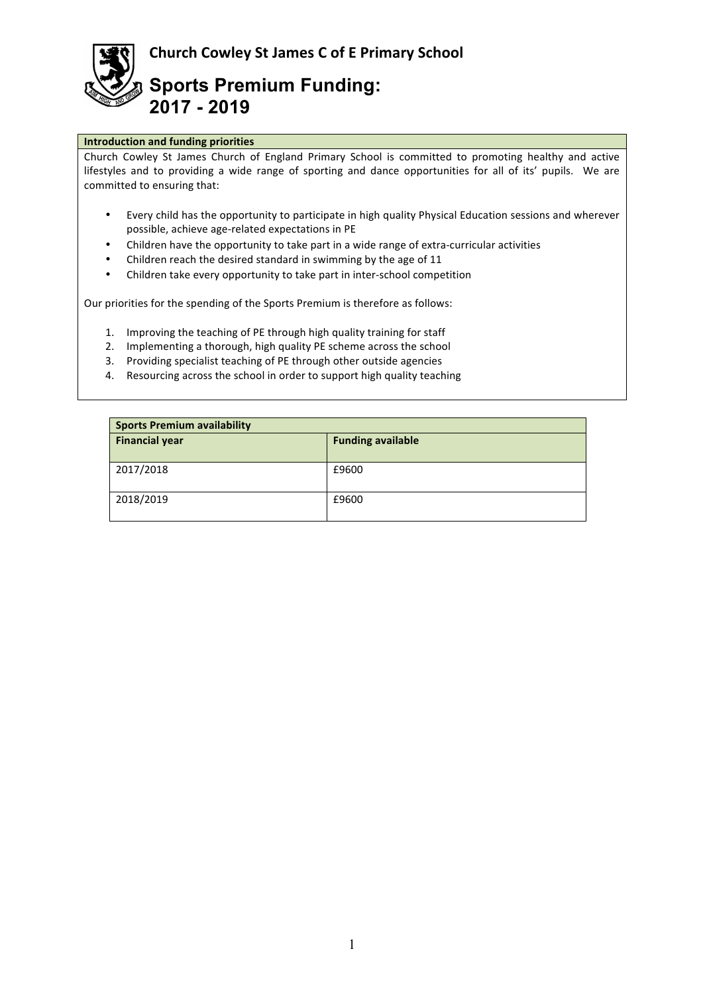**Church Cowley St James C of E Primary School** 



**Sports Premium Funding: 2017 - 2019**

## **Introduction and funding priorities**

Church Cowley St James Church of England Primary School is committed to promoting healthy and active lifestyles and to providing a wide range of sporting and dance opportunities for all of its' pupils. We are committed to ensuring that:

- Every child has the opportunity to participate in high quality Physical Education sessions and wherever possible, achieve age-related expectations in PE
- Children have the opportunity to take part in a wide range of extra-curricular activities
- Children reach the desired standard in swimming by the age of 11
- Children take every opportunity to take part in inter-school competition

Our priorities for the spending of the Sports Premium is therefore as follows:

- 1. Improving the teaching of PE through high quality training for staff
- 2. Implementing a thorough, high quality PE scheme across the school
- 3. Providing specialist teaching of PE through other outside agencies
- 4. Resourcing across the school in order to support high quality teaching

| <b>Sports Premium availability</b> |                          |  |  |
|------------------------------------|--------------------------|--|--|
| <b>Financial year</b>              | <b>Funding available</b> |  |  |
| 2017/2018                          | £9600                    |  |  |
| 2018/2019                          | £9600                    |  |  |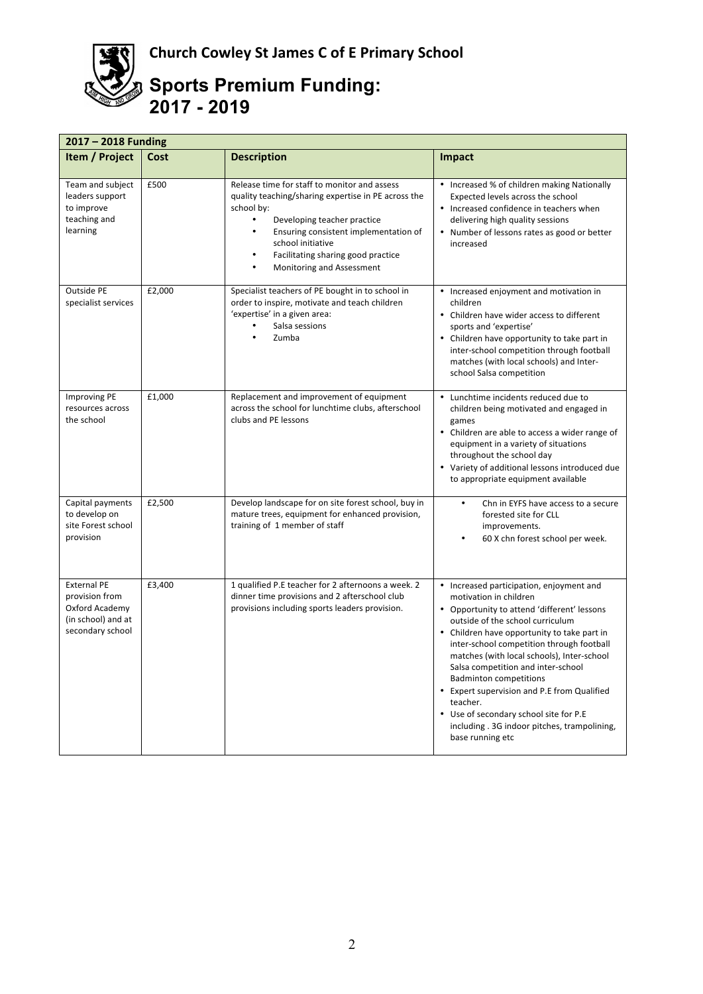

## **Sports Premium Funding: 2017 - 2019**

| $2017 - 2018$ Funding                                                                            |        |                                                                                                                                                                                                                                                                                                |                                                                                                                                                                                                                                                                                                                                                                                                                                                                                                                                                 |  |  |
|--------------------------------------------------------------------------------------------------|--------|------------------------------------------------------------------------------------------------------------------------------------------------------------------------------------------------------------------------------------------------------------------------------------------------|-------------------------------------------------------------------------------------------------------------------------------------------------------------------------------------------------------------------------------------------------------------------------------------------------------------------------------------------------------------------------------------------------------------------------------------------------------------------------------------------------------------------------------------------------|--|--|
| Item / Project                                                                                   | Cost   | <b>Description</b>                                                                                                                                                                                                                                                                             | Impact                                                                                                                                                                                                                                                                                                                                                                                                                                                                                                                                          |  |  |
| Team and subject<br>leaders support<br>to improve<br>teaching and<br>learning                    | £500   | Release time for staff to monitor and assess<br>quality teaching/sharing expertise in PE across the<br>school by:<br>$\bullet$<br>Developing teacher practice<br>Ensuring consistent implementation of<br>school initiative<br>Facilitating sharing good practice<br>Monitoring and Assessment | • Increased % of children making Nationally<br>Expected levels across the school<br>• Increased confidence in teachers when<br>delivering high quality sessions<br>Number of lessons rates as good or better<br>increased                                                                                                                                                                                                                                                                                                                       |  |  |
| Outside PE<br>specialist services                                                                | £2,000 | Specialist teachers of PE bought in to school in<br>order to inspire, motivate and teach children<br>'expertise' in a given area:<br>Salsa sessions<br>Zumba                                                                                                                                   | • Increased enjoyment and motivation in<br>children<br>• Children have wider access to different<br>sports and 'expertise'<br>• Children have opportunity to take part in<br>inter-school competition through football<br>matches (with local schools) and Inter-<br>school Salsa competition                                                                                                                                                                                                                                                   |  |  |
| <b>Improving PE</b><br>resources across<br>the school                                            | £1,000 | Replacement and improvement of equipment<br>across the school for lunchtime clubs, afterschool<br>clubs and PE lessons                                                                                                                                                                         | Lunchtime incidents reduced due to<br>children being motivated and engaged in<br>games<br>• Children are able to access a wider range of<br>equipment in a variety of situations<br>throughout the school day<br>• Variety of additional lessons introduced due<br>to appropriate equipment available                                                                                                                                                                                                                                           |  |  |
| Capital payments<br>to develop on<br>site Forest school<br>provision                             | £2,500 | Develop landscape for on site forest school, buy in<br>mature trees, equipment for enhanced provision,<br>training of 1 member of staff                                                                                                                                                        | Chn in EYFS have access to a secure<br>$\bullet$<br>forested site for CLL<br>improvements.<br>60 X chn forest school per week.                                                                                                                                                                                                                                                                                                                                                                                                                  |  |  |
| <b>External PE</b><br>provision from<br>Oxford Academy<br>(in school) and at<br>secondary school | £3,400 | 1 qualified P.E teacher for 2 afternoons a week. 2<br>dinner time provisions and 2 afterschool club<br>provisions including sports leaders provision.                                                                                                                                          | • Increased participation, enjoyment and<br>motivation in children<br>• Opportunity to attend 'different' lessons<br>outside of the school curriculum<br>• Children have opportunity to take part in<br>inter-school competition through football<br>matches (with local schools), Inter-school<br>Salsa competition and inter-school<br><b>Badminton competitions</b><br>• Expert supervision and P.E from Qualified<br>teacher.<br>• Use of secondary school site for P.E<br>including . 3G indoor pitches, trampolining,<br>base running etc |  |  |